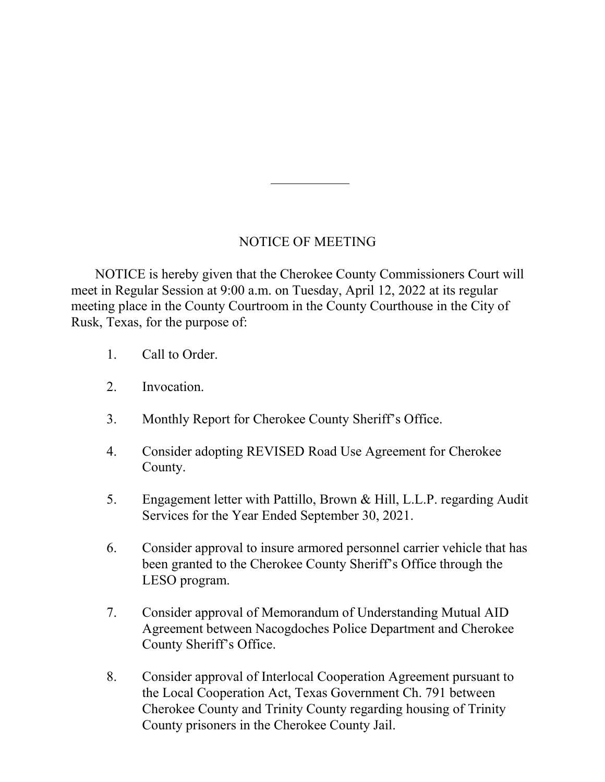## NOTICE OF MEETING

 NOTICE is hereby given that the Cherokee County Commissioners Court will meet in Regular Session at 9:00 a.m. on Tuesday, April 12, 2022 at its regular meeting place in the County Courtroom in the County Courthouse in the City of Rusk, Texas, for the purpose of:

- 1. Call to Order.
- 2. Invocation.
- 3. Monthly Report for Cherokee County Sheriff's Office.
- 4. Consider adopting REVISED Road Use Agreement for Cherokee County.
- 5. Engagement letter with Pattillo, Brown & Hill, L.L.P. regarding Audit Services for the Year Ended September 30, 2021.
- 6. Consider approval to insure armored personnel carrier vehicle that has been granted to the Cherokee County Sheriff's Office through the LESO program.
- 7. Consider approval of Memorandum of Understanding Mutual AID Agreement between Nacogdoches Police Department and Cherokee County Sheriff's Office.
- 8. Consider approval of Interlocal Cooperation Agreement pursuant to the Local Cooperation Act, Texas Government Ch. 791 between Cherokee County and Trinity County regarding housing of Trinity County prisoners in the Cherokee County Jail.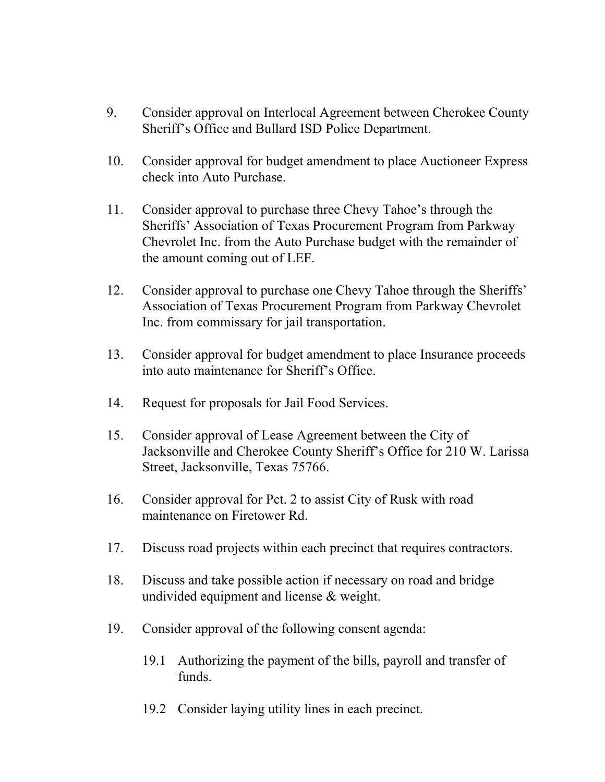- 9. Consider approval on Interlocal Agreement between Cherokee County Sheriff's Office and Bullard ISD Police Department.
- 10. Consider approval for budget amendment to place Auctioneer Express check into Auto Purchase.
- 11. Consider approval to purchase three Chevy Tahoe's through the Sheriffs' Association of Texas Procurement Program from Parkway Chevrolet Inc. from the Auto Purchase budget with the remainder of the amount coming out of LEF.
- 12. Consider approval to purchase one Chevy Tahoe through the Sheriffs' Association of Texas Procurement Program from Parkway Chevrolet Inc. from commissary for jail transportation.
- 13. Consider approval for budget amendment to place Insurance proceeds into auto maintenance for Sheriff's Office.
- 14. Request for proposals for Jail Food Services.
- 15. Consider approval of Lease Agreement between the City of Jacksonville and Cherokee County Sheriff's Office for 210 W. Larissa Street, Jacksonville, Texas 75766.
- 16. Consider approval for Pct. 2 to assist City of Rusk with road maintenance on Firetower Rd.
- 17. Discuss road projects within each precinct that requires contractors.
- 18. Discuss and take possible action if necessary on road and bridge undivided equipment and license & weight.
- 19. Consider approval of the following consent agenda:
	- 19.1 Authorizing the payment of the bills, payroll and transfer of funds.
	- 19.2 Consider laying utility lines in each precinct.